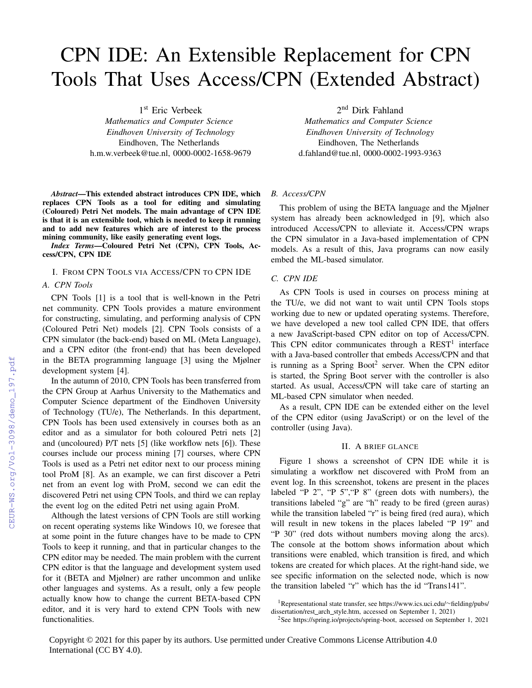# CPN IDE: An Extensible Replacement for CPN Tools That Uses Access/CPN (Extended Abstract)

1 st Eric Verbeek

*Mathematics and Computer Science Eindhoven University of Technology* Eindhoven, The Netherlands h.m.w.verbeek@tue.nl, 0000-0002-1658-9679

*Abstract*—This extended abstract introduces CPN IDE, which replaces CPN Tools as a tool for editing and simulating (Coloured) Petri Net models. The main advantage of CPN IDE is that it is an extensible tool, which is needed to keep it running and to add new features which are of interest to the process mining community, like easily generating event logs.

*Index Terms*—Coloured Petri Net (CPN), CPN Tools, Access/CPN, CPN IDE

# I. FROM CPN TOOLS VIA ACCESS/CPN TO CPN IDE

# *A. CPN Tools*

CPN Tools [1] is a tool that is well-known in the Petri net community. CPN Tools provides a mature environment for constructing, simulating, and performing analysis of CPN (Coloured Petri Net) models [2]. CPN Tools consists of a CPN simulator (the back-end) based on ML (Meta Language), and a CPN editor (the front-end) that has been developed in the BETA programming language [3] using the Mjølner development system [4].

In the autumn of 2010, CPN Tools has been transferred from the CPN Group at Aarhus University to the Mathematics and Computer Science department of the Eindhoven University of Technology (TU/e), The Netherlands. In this department, CPN Tools has been used extensively in courses both as an editor and as a simulator for both coloured Petri nets [2] and (uncoloured) P/T nets [5] (like workflow nets [6]). These courses include our process mining [7] courses, where CPN Tools is used as a Petri net editor next to our process mining tool ProM [8]. As an example, we can first discover a Petri net from an event log with ProM, second we can edit the discovered Petri net using CPN Tools, and third we can replay the event log on the edited Petri net using again ProM.

Although the latest versions of CPN Tools are still working on recent operating systems like Windows 10, we foresee that at some point in the future changes have to be made to CPN Tools to keep it running, and that in particular changes to the CPN editor may be needed. The main problem with the current CPN editor is that the language and development system used for it (BETA and Mjølner) are rather uncommon and unlike other languages and systems. As a result, only a few people actually know how to change the current BETA-based CPN editor, and it is very hard to extend CPN Tools with new functionalities.

2<sup>nd</sup> Dirk Fahland

*Mathematics and Computer Science Eindhoven University of Technology* Eindhoven, The Netherlands d.fahland@tue.nl, 0000-0002-1993-9363

#### *B. Access/CPN*

This problem of using the BETA language and the Mjølner system has already been acknowledged in [9], which also introduced Access/CPN to alleviate it. Access/CPN wraps the CPN simulator in a Java-based implementation of CPN models. As a result of this, Java programs can now easily embed the ML-based simulator.

# *C. CPN IDE*

As CPN Tools is used in courses on process mining at the TU/e, we did not want to wait until CPN Tools stops working due to new or updated operating systems. Therefore, we have developed a new tool called CPN IDE, that offers a new JavaScript-based CPN editor on top of Access/CPN. This CPN editor communicates through a  $REST<sup>1</sup>$  interface with a Java-based controller that embeds Access/CPN and that is running as a Spring Boot<sup>2</sup> server. When the CPN editor is started, the Spring Boot server with the controller is also started. As usual, Access/CPN will take care of starting an ML-based CPN simulator when needed.

As a result, CPN IDE can be extended either on the level of the CPN editor (using JavaScript) or on the level of the controller (using Java).

#### II. A BRIEF GLANCE

Figure 1 shows a screenshot of CPN IDE while it is simulating a workflow net discovered with ProM from an event log. In this screenshot, tokens are present in the places labeled "P 2", "P 5","P 8" (green dots with numbers), the transitions labeled "g" are "h" ready to be fired (green auras) while the transition labeled "r" is being fired (red aura), which will result in new tokens in the places labeled "P 19" and "P 30" (red dots without numbers moving along the arcs). The console at the bottom shows information about which transitions were enabled, which transition is fired, and which tokens are created for which places. At the right-hand side, we see specific information on the selected node, which is now the transition labeled "r" which has the id "Trans141".

<sup>1</sup>Representational state transfer, see https://www.ics.uci.edu/∼fielding/pubs/ dissertation/rest\_arch\_style.htm, accessed on September 1, 2021)

<sup>2</sup>See https://spring.io/projects/spring-boot, accessed on September 1, 2021